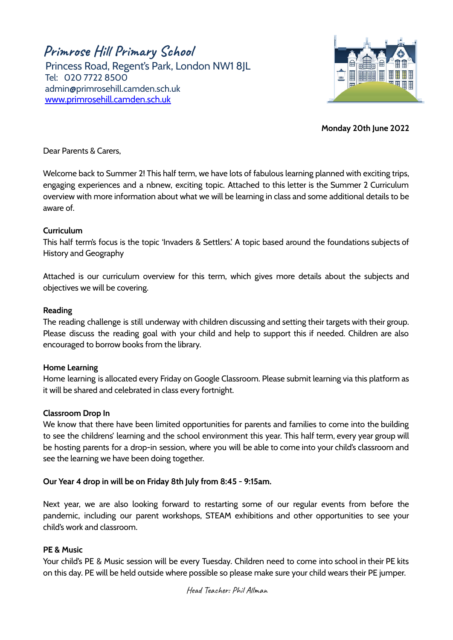**Primrose Hill Primary School**

Princess Road, Regent's Park, London NW1 8JL Tel: 020 7722 8500 [admin@primrosehill.camden.sch.uk](mailto:admin@primrosehill.camden.sch.uk) [www.primrosehill.camden.sch.uk](http://www.primrosehill.camden.sch.uk)



**Monday 20th June 2022**

Dear Parents & Carers,

Welcome back to Summer 2! This half term, we have lots of fabulous learning planned with exciting trips, engaging experiences and a nbnew, exciting topic. Attached to this letter is the Summer 2 Curriculum overview with more information about what we will be learning in class and some additional details to be aware of.

### **Curriculum**

This half term's focus is the topic 'Invaders & Settlers.' A topic based around the foundations subjects of History and Geography

Attached is our curriculum overview for this term, which gives more details about the subjects and objectives we will be covering.

### **Reading**

The reading challenge is still underway with children discussing and setting their targets with their group. Please discuss the reading goal with your child and help to support this if needed. Children are also encouraged to borrow books from the library.

#### **Home Learning**

Home learning is allocated every Friday on Google Classroom. Please submit learning via this platform as it will be shared and celebrated in class every fortnight.

# **Classroom Drop In**

We know that there have been limited opportunities for parents and families to come into the building to see the childrens' learning and the school environment this year. This half term, every year group will be hosting parents for a drop-in session, where you will be able to come into your child's classroom and see the learning we have been doing together.

# **Our Year 4 drop in will be on Friday 8th July from 8:45 - 9:15am.**

Next year, we are also looking forward to restarting some of our regular events from before the pandemic, including our parent workshops, STEAM exhibitions and other opportunities to see your child's work and classroom.

#### **PE & Music**

Your child's PE & Music session will be every Tuesday. Children need to come into school in their PE kits on this day. PE will be held outside where possible so please make sure your child wears their PE jumper.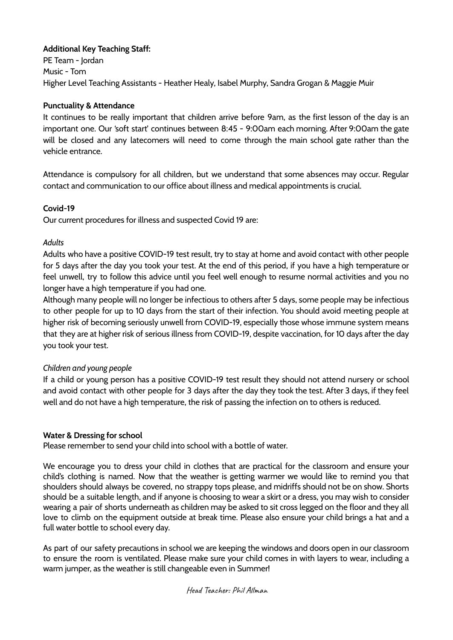# **Additional Key Teaching Staff:**

PE Team - Jordan Music - Tom Higher Level Teaching Assistants - Heather Healy, Isabel Murphy, Sandra Grogan & Maggie Muir

### **Punctuality & Attendance**

It continues to be really important that children arrive before 9am, as the first lesson of the day is an important one. Our 'soft start' continues between 8:45 - 9:00am each morning. After 9:00am the gate will be closed and any latecomers will need to come through the main school gate rather than the vehicle entrance.

Attendance is compulsory for all children, but we understand that some absences may occur. Regular contact and communication to our office about illness and medical appointments is crucial.

### **Covid-19**

Our current procedures for illness and suspected Covid 19 are:

### *Adults*

Adults who have a positive COVID-19 test result, try to stay at home and avoid contact with other people for 5 days after the day you took your test. At the end of this period, if you have a high temperature or feel unwell, try to follow this advice until you feel well enough to resume normal activities and you no longer have a high temperature if you had one.

Although many people will no longer be infectious to others after 5 days, some people may be infectious to other people for up to 10 days from the start of their infection. You should avoid meeting people at higher risk of becoming seriously unwell from COVID-19, especially those whose immune system means that they are at higher risk of serious illness from COVID-19, despite vaccination, for 10 days after the day you took your test.

# *Children and young people*

If a child or young person has a positive COVID-19 test result they should not attend nursery or school and avoid contact with other people for 3 days after the day they took the test. After 3 days, if they feel well and do not have a high temperature, the risk of passing the infection on to others is reduced.

# **Water & Dressing for school**

Please remember to send your child into school with a bottle of water.

We encourage you to dress your child in clothes that are practical for the classroom and ensure your child's clothing is named. Now that the weather is getting warmer we would like to remind you that shoulders should always be covered, no strappy tops please, and midriffs should not be on show. Shorts should be a suitable length, and if anyone is choosing to wear a skirt or a dress, you may wish to consider wearing a pair of shorts underneath as children may be asked to sit cross legged on the floor and they all love to climb on the equipment outside at break time. Please also ensure your child brings a hat and a full water bottle to school every day.

As part of our safety precautions in school we are keeping the windows and doors open in our classroom to ensure the room is ventilated. Please make sure your child comes in with layers to wear, including a warm jumper, as the weather is still changeable even in Summer!

#### Head Teacher: Phil Allman